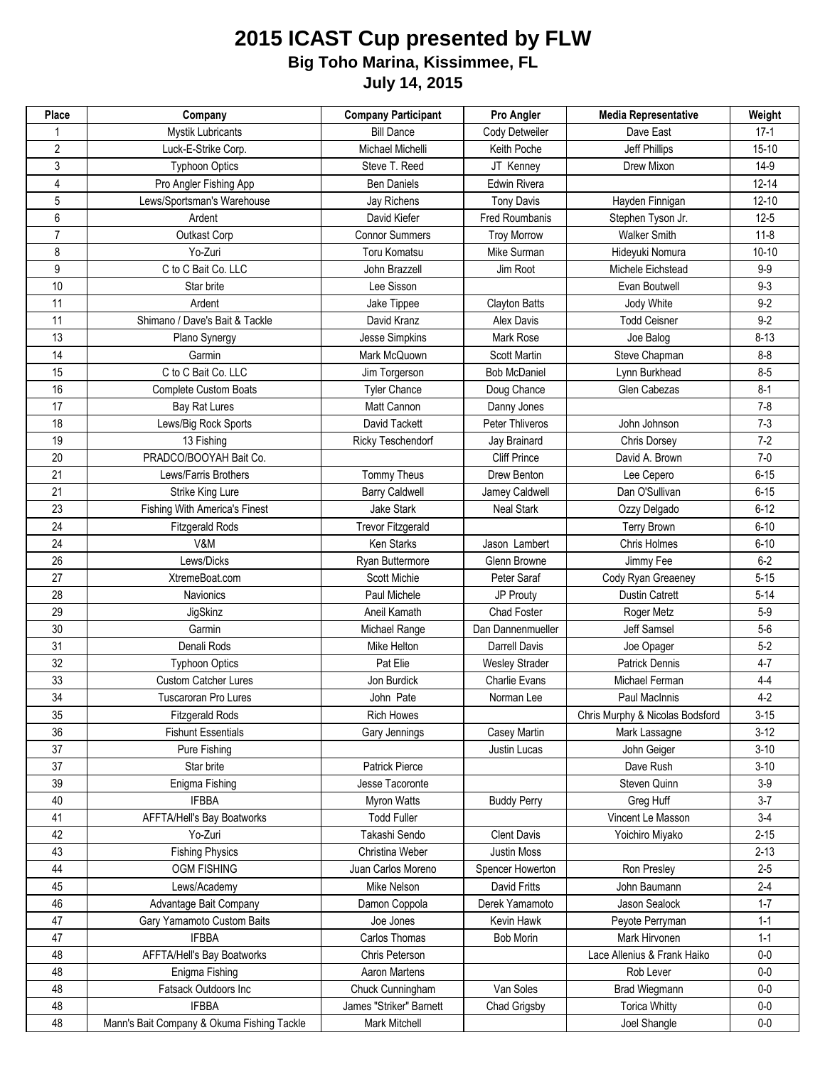## **2015 ICAST Cup presented by FLW July 14, 2015 Big Toho Marina, Kissimmee, FL**

| Place          | Company                                    | <b>Company Participant</b> | Pro Angler            | <b>Media Representative</b>     | Weight    |
|----------------|--------------------------------------------|----------------------------|-----------------------|---------------------------------|-----------|
|                | <b>Mystik Lubricants</b>                   | <b>Bill Dance</b>          | Cody Detweiler        | Dave East                       | $17-1$    |
| $\overline{2}$ | Luck-E-Strike Corp.                        | Michael Michelli           | Keith Poche           | Jeff Phillips                   | $15 - 10$ |
| 3              | <b>Typhoon Optics</b>                      | Steve T. Reed              | JT Kenney             | Drew Mixon                      | $14-9$    |
| 4              | Pro Angler Fishing App                     | <b>Ben Daniels</b>         | Edwin Rivera          |                                 | $12 - 14$ |
| 5              | Lews/Sportsman's Warehouse                 | Jay Richens                | <b>Tony Davis</b>     | Hayden Finnigan                 | $12 - 10$ |
| 6              | Ardent                                     | David Kiefer               | Fred Roumbanis        | Stephen Tyson Jr.               | $12-5$    |
| $\overline{7}$ | Outkast Corp                               | <b>Connor Summers</b>      | <b>Troy Morrow</b>    | <b>Walker Smith</b>             | $11 - 8$  |
| 8              | Yo-Zuri                                    | Toru Komatsu               | Mike Surman           | Hideyuki Nomura                 | $10 - 10$ |
| 9              | C to C Bait Co. LLC                        | John Brazzell              | Jim Root              | Michele Eichstead               | $9-9$     |
| 10             | Star brite                                 | Lee Sisson                 |                       | Evan Boutwell                   | $9 - 3$   |
| 11             | Ardent                                     | Jake Tippee                | <b>Clayton Batts</b>  | Jody White                      | $9-2$     |
| 11             | Shimano / Dave's Bait & Tackle             | David Kranz                | <b>Alex Davis</b>     | <b>Todd Ceisner</b>             | $9-2$     |
| 13             | Plano Synergy                              | Jesse Simpkins             | Mark Rose             | Joe Balog                       | $8 - 13$  |
| 14             | Garmin                                     | Mark McQuown               | <b>Scott Martin</b>   | Steve Chapman                   | $8 - 8$   |
| 15             | C to C Bait Co. LLC                        | Jim Torgerson              | <b>Bob McDaniel</b>   | Lynn Burkhead                   | $8 - 5$   |
| 16             | <b>Complete Custom Boats</b>               | <b>Tyler Chance</b>        | Doug Chance           | Glen Cabezas                    | $8 - 1$   |
| 17             | <b>Bay Rat Lures</b>                       | Matt Cannon                | Danny Jones           |                                 | $7 - 8$   |
| 18             | Lews/Big Rock Sports                       | David Tackett              | Peter Thliveros       | John Johnson                    | $7-3$     |
| 19             | 13 Fishing                                 | Ricky Teschendorf          | Jay Brainard          | Chris Dorsey                    | $7 - 2$   |
| 20             | PRADCO/BOOYAH Bait Co.                     |                            | <b>Cliff Prince</b>   | David A. Brown                  | $7-0$     |
| 21             | Lews/Farris Brothers                       | Tommy Theus                | Drew Benton           | Lee Cepero                      | $6 - 15$  |
| 21             | Strike King Lure                           | <b>Barry Caldwell</b>      | Jamey Caldwell        | Dan O'Sullivan                  | $6 - 15$  |
| 23             | <b>Fishing With America's Finest</b>       | Jake Stark                 | <b>Neal Stark</b>     | Ozzy Delgado                    | $6 - 12$  |
| 24             | <b>Fitzgerald Rods</b>                     | <b>Trevor Fitzgerald</b>   |                       | <b>Terry Brown</b>              | $6 - 10$  |
| 24             | V&M                                        | Ken Starks                 | Jason Lambert         | Chris Holmes                    | $6 - 10$  |
| 26             | Lews/Dicks                                 | Ryan Buttermore            | Glenn Browne          | Jimmy Fee                       | $6-2$     |
| 27             | XtremeBoat.com                             | Scott Michie               | Peter Saraf           | Cody Ryan Greaeney              | $5 - 15$  |
| 28             | Navionics                                  | Paul Michele               | JP Prouty             | <b>Dustin Catrett</b>           | $5 - 14$  |
| 29             | JigSkinz                                   | Aneil Kamath               | <b>Chad Foster</b>    | Roger Metz                      | $5-9$     |
| 30             | Garmin                                     | Michael Range              | Dan Dannenmueller     | Jeff Samsel                     | $5-6$     |
| 31             | Denali Rods                                | Mike Helton                | <b>Darrell Davis</b>  | Joe Opager                      | $5-2$     |
| 32             | <b>Typhoon Optics</b>                      | Pat Elie                   | <b>Wesley Strader</b> | <b>Patrick Dennis</b>           | $4 - 7$   |
| 33             | <b>Custom Catcher Lures</b>                | Jon Burdick                | <b>Charlie Evans</b>  | Michael Ferman                  | $4 - 4$   |
| 34             | <b>Tuscaroran Pro Lures</b>                | John Pate                  | Norman Lee            | Paul MacInnis                   | $4-2$     |
| 35             | <b>Fitzgerald Rods</b>                     | <b>Rich Howes</b>          |                       | Chris Murphy & Nicolas Bodsford | $3 - 15$  |
| 36             | <b>Fishunt Essentials</b>                  | Gary Jennings              | Casey Martin          | Mark Lassagne                   | $3-12$    |
| 37             | Pure Fishing                               |                            | Justin Lucas          | John Geiger                     | $3 - 10$  |
| 37             | Star brite                                 | Patrick Pierce             |                       | Dave Rush                       | $3 - 10$  |
| 39             | Enigma Fishing                             | Jesse Tacoronte            |                       | Steven Quinn                    | $3-9$     |
| 40             | <b>IFBBA</b>                               | <b>Myron Watts</b>         | <b>Buddy Perry</b>    | Greg Huff                       | $3 - 7$   |
| 41             | AFFTA/Hell's Bay Boatworks                 | <b>Todd Fuller</b>         |                       | Vincent Le Masson               | $3-4$     |
| 42             | Yo-Zuri                                    | Takashi Sendo              | <b>Clent Davis</b>    | Yoichiro Miyako                 | $2 - 15$  |
| 43             | <b>Fishing Physics</b>                     | Christina Weber            | Justin Moss           |                                 | $2 - 13$  |
| 44             | <b>OGM FISHING</b>                         | Juan Carlos Moreno         | Spencer Howerton      | Ron Presley                     | $2 - 5$   |
| 45             | Lews/Academy                               | Mike Nelson                | David Fritts          | John Baumann                    | $2-4$     |
| 46             | Advantage Bait Company                     | Damon Coppola              | Derek Yamamoto        | Jason Sealock                   | $1 - 7$   |
| 47             | Gary Yamamoto Custom Baits                 | Joe Jones                  | Kevin Hawk            | Peyote Perryman                 | $1 - 1$   |
| 47             | <b>IFBBA</b>                               | Carlos Thomas              | <b>Bob Morin</b>      | Mark Hirvonen                   | $1 - 1$   |
| 48             | AFFTA/Hell's Bay Boatworks                 | Chris Peterson             |                       | Lace Allenius & Frank Haiko     | $0-0$     |
| 48             | Enigma Fishing                             | Aaron Martens              |                       | Rob Lever                       | $0-0$     |
| 48             | Fatsack Outdoors Inc                       | Chuck Cunningham           | Van Soles             | <b>Brad Wiegmann</b>            | $0-0$     |
| 48             | <b>IFBBA</b>                               | James "Striker" Barnett    | Chad Grigsby          | <b>Torica Whitty</b>            | $0-0$     |
| 48             | Mann's Bait Company & Okuma Fishing Tackle | Mark Mitchell              |                       | Joel Shangle                    | $0-0$     |
|                |                                            |                            |                       |                                 |           |